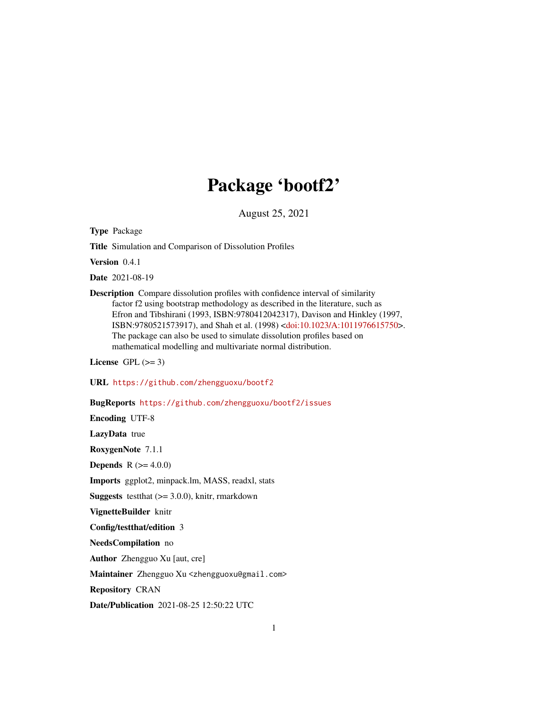# Package 'bootf2'

August 25, 2021

Type Package

Title Simulation and Comparison of Dissolution Profiles

Version 0.4.1

Date 2021-08-19

Description Compare dissolution profiles with confidence interval of similarity factor f2 using bootstrap methodology as described in the literature, such as Efron and Tibshirani (1993, ISBN:9780412042317), Davison and Hinkley (1997, ISBN:9780521573917), and Shah et al. (1998) [<doi:10.1023/A:1011976615750>](https://doi.org/10.1023/A:1011976615750). The package can also be used to simulate dissolution profiles based on mathematical modelling and multivariate normal distribution.

License GPL  $(>= 3)$ 

URL <https://github.com/zhengguoxu/bootf2>

BugReports <https://github.com/zhengguoxu/bootf2/issues>

Encoding UTF-8

LazyData true

RoxygenNote 7.1.1

**Depends** R  $(>= 4.0.0)$ 

Imports ggplot2, minpack.lm, MASS, readxl, stats

**Suggests** testthat  $(>= 3.0.0)$ , knitr, rmarkdown

VignetteBuilder knitr

Config/testthat/edition 3

NeedsCompilation no

Author Zhengguo Xu [aut, cre]

Maintainer Zhengguo Xu <zhengguoxu@gmail.com>

Repository CRAN

Date/Publication 2021-08-25 12:50:22 UTC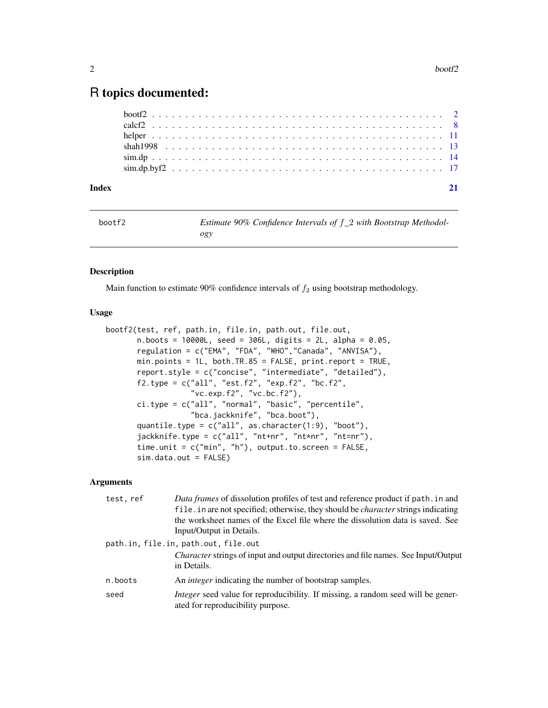## <span id="page-1-0"></span>R topics documented:

| Index |  |  |
|-------|--|--|
|       |  |  |
|       |  |  |
|       |  |  |
|       |  |  |
|       |  |  |
|       |  |  |

<span id="page-1-1"></span>

| bootf2 | Estimate 90% Confidence Intervals of $f_2$ with Bootstrap Methodol- |
|--------|---------------------------------------------------------------------|
|        | ogy                                                                 |

### Description

Main function to estimate 90% confidence intervals of  $f_2$  using bootstrap methodology.

### Usage

```
bootf2(test, ref, path.in, file.in, path.out, file.out,
       n.boots = 10000L, seed = 306L, digits = 2L, alpha = 0.05,
       regulation = c("EMA", "FDA", "WHO","Canada", "ANVISA"),
       min.points = 1L, both.TR.85 = FALSE, print.report = TRUE,
       report.style = c("concise", "intermediate", "detailed"),
       f2.type = c("all", "est.f2", "exp.f2", "bc.f2",
                   "vc.exp.f2", "vc.bc.f2"),
       ci.type = c("all", "normal", "basic", "percentile",
                   "bca.jackknife", "bca.boot"),
       quantile.type = c("all", as.character(1:9), "boot"),
       jackknife.type = c("all", "nt+nr", "nt*nr", "nt=nr"),
       time.unit = c("min", "h"), output.to.screen = FALSE,
       sim.data.out = FALSE)
```

| test, ref                            | Data frames of dissolution profiles of test and reference product if path. in and                                            |
|--------------------------------------|------------------------------------------------------------------------------------------------------------------------------|
|                                      | file. in are not specified; otherwise, they should be <i>character</i> strings indicating                                    |
|                                      | the worksheet names of the Excel file where the dissolution data is saved. See                                               |
|                                      | Input/Output in Details.                                                                                                     |
| path.in, file.in, path.out, file.out |                                                                                                                              |
|                                      | Character strings of input and output directories and file names. See Input/Output<br>in Details.                            |
| n.boots                              | An <i>integer</i> indicating the number of bootstrap samples.                                                                |
| seed                                 | <i>Integer</i> seed value for reproducibility. If missing, a random seed will be gener-<br>ated for reproducibility purpose. |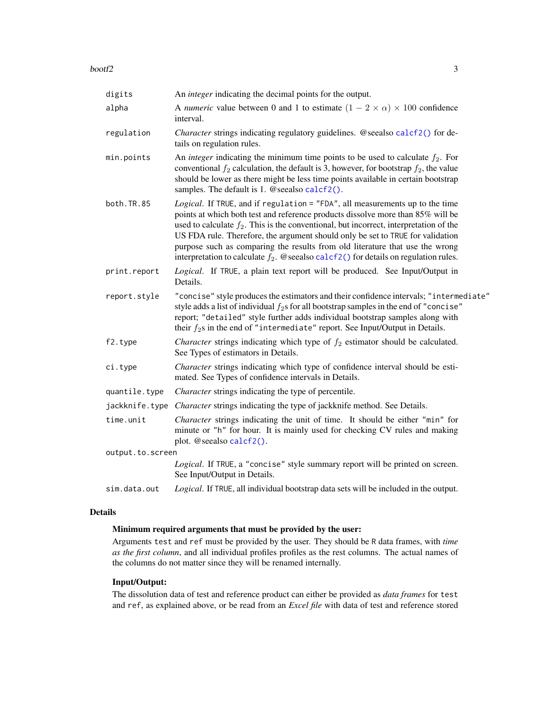<span id="page-2-0"></span>

| digits           | An <i>integer</i> indicating the decimal points for the output.                                                                                                                                                                                                                                                                                                                                                                                                                                                         |
|------------------|-------------------------------------------------------------------------------------------------------------------------------------------------------------------------------------------------------------------------------------------------------------------------------------------------------------------------------------------------------------------------------------------------------------------------------------------------------------------------------------------------------------------------|
| alpha            | A numeric value between 0 and 1 to estimate $(1 - 2 \times \alpha) \times 100$ confidence<br>interval.                                                                                                                                                                                                                                                                                                                                                                                                                  |
| regulation       | Character strings indicating regulatory guidelines. @seealso calcf2() for de-<br>tails on regulation rules.                                                                                                                                                                                                                                                                                                                                                                                                             |
| min.points       | An <i>integer</i> indicating the minimum time points to be used to calculate $f_2$ . For<br>conventional $f_2$ calculation, the default is 3, however, for bootstrap $f_2$ , the value<br>should be lower as there might be less time points available in certain bootstrap<br>samples. The default is 1. @ seealso calcf2().                                                                                                                                                                                           |
| both.TR.85       | Logical. If TRUE, and if regulation = "FDA", all measurements up to the time<br>points at which both test and reference products dissolve more than 85% will be<br>used to calculate $f_2$ . This is the conventional, but incorrect, interpretation of the<br>US FDA rule. Therefore, the argument should only be set to TRUE for validation<br>purpose such as comparing the results from old literature that use the wrong<br>interpretation to calculate $f_2$ . @seealso calcf2() for details on regulation rules. |
| print.report     | Logical. If TRUE, a plain text report will be produced. See Input/Output in<br>Details.                                                                                                                                                                                                                                                                                                                                                                                                                                 |
| report.style     | "concise" style produces the estimators and their confidence intervals; "intermediate"<br>style adds a list of individual $f_2$ s for all bootstrap samples in the end of "concise"<br>report; "detailed" style further adds individual bootstrap samples along with<br>their $f_2$ s in the end of "intermediate" report. See Input/Output in Details.                                                                                                                                                                 |
| f2.type          | <i>Character</i> strings indicating which type of $f_2$ estimator should be calculated.<br>See Types of estimators in Details.                                                                                                                                                                                                                                                                                                                                                                                          |
| ci.type          | Character strings indicating which type of confidence interval should be esti-<br>mated. See Types of confidence intervals in Details.                                                                                                                                                                                                                                                                                                                                                                                  |
| quantile.type    | <i>Character</i> strings indicating the type of percentile.                                                                                                                                                                                                                                                                                                                                                                                                                                                             |
| jackknife.type   | Character strings indicating the type of jackknife method. See Details.                                                                                                                                                                                                                                                                                                                                                                                                                                                 |
| time.unit        | Character strings indicating the unit of time. It should be either "min" for<br>minute or "h" for hour. It is mainly used for checking CV rules and making<br>plot. @seealso calcf2().                                                                                                                                                                                                                                                                                                                                  |
| output.to.screen |                                                                                                                                                                                                                                                                                                                                                                                                                                                                                                                         |
|                  | Logical. If TRUE, a "concise" style summary report will be printed on screen.<br>See Input/Output in Details.                                                                                                                                                                                                                                                                                                                                                                                                           |
| sim.data.out     | Logical. If TRUE, all individual bootstrap data sets will be included in the output.                                                                                                                                                                                                                                                                                                                                                                                                                                    |

### Details

### Minimum required arguments that must be provided by the user:

Arguments test and ref must be provided by the user. They should be R data frames, with *time as the first column*, and all individual profiles profiles as the rest columns. The actual names of the columns do not matter since they will be renamed internally.

### Input/Output:

The dissolution data of test and reference product can either be provided as *data frames* for test and ref, as explained above, or be read from an *Excel file* with data of test and reference stored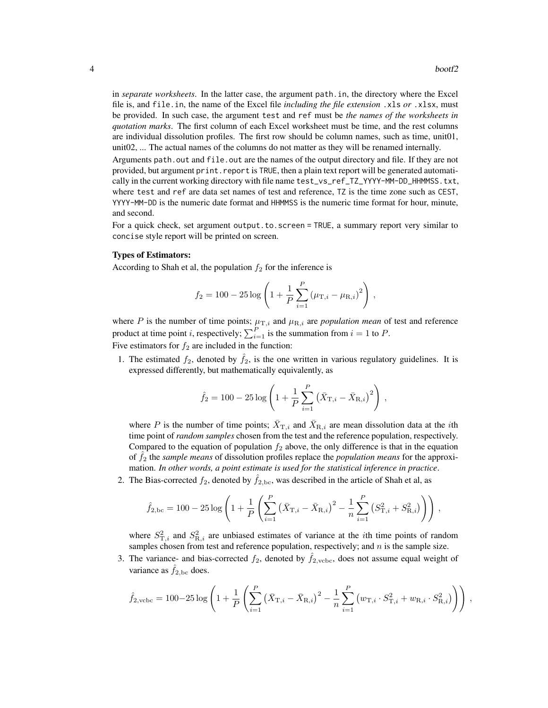in *separate worksheets*. In the latter case, the argument path.in, the directory where the Excel file is, and file.in, the name of the Excel file *including the file extension* .xls *or* .xlsx, must be provided. In such case, the argument test and ref must be *the names of the worksheets in quotation marks*. The first column of each Excel worksheet must be time, and the rest columns are individual dissolution profiles. The first row should be column names, such as time, unit01, unit02, ... The actual names of the columns do not matter as they will be renamed internally.

Arguments path.out and file.out are the names of the output directory and file. If they are not provided, but argument print.report is TRUE, then a plain text report will be generated automatically in the current working directory with file name test\_vs\_ref\_TZ\_YYYY-MM-DD\_HHMMSS.txt, where test and ref are data set names of test and reference,  $TZ$  is the time zone such as CEST, YYYY-MM-DD is the numeric date format and HHMMSS is the numeric time format for hour, minute, and second.

For a quick check, set argument output.to.screen = TRUE, a summary report very similar to concise style report will be printed on screen.

### Types of Estimators:

According to Shah et al, the population  $f_2$  for the inference is

$$
f_2 = 100 - 25 \log \left( 1 + \frac{1}{P} \sum_{i=1}^{P} (\mu_{\text{T},i} - \mu_{\text{R},i})^2 \right),
$$

where P is the number of time points;  $\mu_{\text{T},i}$  and  $\mu_{\text{R},i}$  are *population mean* of test and reference product at time point *i*, respectively;  $\sum_{i=1}^{P}$  is the summation from  $i = 1$  to P. Five estimators for  $f_2$  are included in the function:

1. The estimated  $f_2$ , denoted by  $f_2$ , is the one written in various regulatory guidelines. It is expressed differently, but mathematically equivalently, as

$$
\hat{f}_2 = 100 - 25 \log \left( 1 + \frac{1}{P} \sum_{i=1}^{P} \left( \bar{X}_{\mathrm{T},i} - \bar{X}_{\mathrm{R},i} \right)^2 \right) ,
$$

where P is the number of time points;  $\bar{X}_{T,i}$  and  $\bar{X}_{R,i}$  are mean dissolution data at the *i*th time point of *random samples* chosen from the test and the reference population, respectively. Compared to the equation of population  $f_2$  above, the only difference is that in the equation of ˆf<sup>2</sup> the *sample means* of dissolution profiles replace the *population means* for the approximation. *In other words, a point estimate is used for the statistical inference in practice*.

2. The Bias-corrected  $f_2$ , denoted by  $\hat{f}_{2,bc}$ , was described in the article of Shah et al, as

$$
\hat{f}_{2,\text{bc}} = 100 - 25 \log \left( 1 + \frac{1}{P} \left( \sum_{i=1}^{P} \left( \bar{X}_{\text{T},i} - \bar{X}_{\text{R},i} \right)^2 - \frac{1}{n} \sum_{i=1}^{P} \left( S_{\text{T},i}^2 + S_{\text{R},i}^2 \right) \right) \right),
$$

where  $S_{\text{T},i}^2$  and  $S_{\text{R},i}^2$  are unbiased estimates of variance at the *i*th time points of random samples chosen from test and reference population, respectively; and  $n$  is the sample size.

3. The variance- and bias-corrected  $f_2$ , denoted by  $\hat{f}_{2,\text{vcbc}}$ , does not assume equal weight of variance as  $\hat{f}_{2,bc}$  does.

$$
\hat{f}_{2,\text{vcbc}} = 100 - 25 \log \left( 1 + \frac{1}{P} \left( \sum_{i=1}^{P} \left( \bar{X}_{\text{T},i} - \bar{X}_{\text{R},i} \right)^2 - \frac{1}{n} \sum_{i=1}^{P} \left( w_{\text{T},i} \cdot S_{\text{T},i}^2 + w_{\text{R},i} \cdot S_{\text{R},i}^2 \right) \right) \right),
$$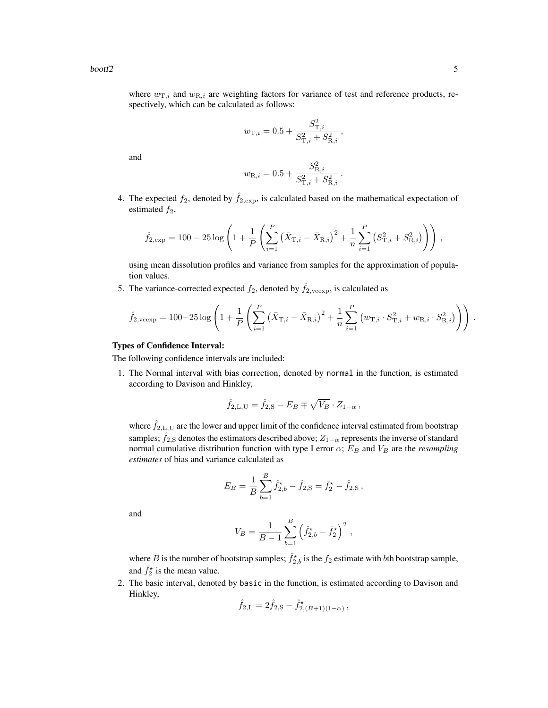where  $w_{\text{T},i}$  and  $w_{\text{R},i}$  are weighting factors for variance of test and reference products, respectively, which can be calculated as follows:

$$
w_{\mathrm{T},i} = 0.5 + \frac{S_{\mathrm{T},i}^2}{S_{\mathrm{T},i}^2 + S_{\mathrm{R},i}^2} \,, \label{eq:opt2}
$$

and

$$
w_{\mathrm{R},i} = 0.5 + \frac{S_{\mathrm{R},i}^2}{S_{\mathrm{T},i}^2 + S_{\mathrm{R},i}^2}
$$

.

4. The expected  $f_2$ , denoted by  $\hat{f}_{2,\text{exp}}$ , is calculated based on the mathematical expectation of estimated  $f_2$ ,

$$
\hat{f}_{2,\text{exp}} = 100 - 25 \log \left( 1 + \frac{1}{P} \left( \sum_{i=1}^{P} \left( \bar{X}_{\text{T},i} - \bar{X}_{\text{R},i} \right)^2 + \frac{1}{n} \sum_{i=1}^{P} \left( S_{\text{T},i}^2 + S_{\text{R},i}^2 \right) \right) \right),
$$

using mean dissolution profiles and variance from samples for the approximation of population values.

5. The variance-corrected expected  $f_2$ , denoted by  $\hat{f}_{2,\text{veexp}}$ , is calculated as

$$
\hat{f}_{2,\text{vexp}} = 100 - 25 \log \left( 1 + \frac{1}{P} \left( \sum_{i=1}^{P} \left( \bar{X}_{\text{T},i} - \bar{X}_{\text{R},i} \right)^2 + \frac{1}{n} \sum_{i=1}^{P} \left( w_{\text{T},i} \cdot S_{\text{T},i}^2 + w_{\text{R},i} \cdot S_{\text{R},i}^2 \right) \right) \right).
$$

### Types of Confidence Interval:

The following confidence intervals are included:

1. The Normal interval with bias correction, denoted by normal in the function, is estimated according to Davison and Hinkley,

$$
\hat{f}_{2,L,U} = \hat{f}_{2,S} - E_B \mp \sqrt{V_B} \cdot Z_{1-\alpha},
$$

where  $f_{2,L,U}$  are the lower and upper limit of the confidence interval estimated from bootstrap samples;  $\hat{f}_{2,S}$  denotes the estimators described above;  $Z_{1-\alpha}$  represents the inverse of standard normal cumulative distribution function with type I error  $\alpha$ ;  $E_B$  and  $V_B$  are the *resampling estimates* of bias and variance calculated as

$$
E_B = \frac{1}{B} \sum_{b=1}^{B} \hat{f}_{2,b}^{\star} - \hat{f}_{2,S} = \bar{f}_2^{\star} - \hat{f}_{2,S},
$$

and

$$
V_B = \frac{1}{B-1} \sum_{b=1}^{B} \left( \hat{f}_{2,b}^{\star} - \bar{f}_{2}^{\star} \right)^2,
$$

where B is the number of bootstrap samples;  $\hat{f}_{2,b}^{\star}$  is the  $f_2$  estimate with bth bootstrap sample, and  $\bar{f}_2^*$  is the mean value.

2. The basic interval, denoted by basic in the function, is estimated according to Davison and Hinkley,

$$
\hat{f}_{2,L} = 2\hat{f}_{2,S} - \hat{f}_{2,(B+1)(1-\alpha)}^{\star},
$$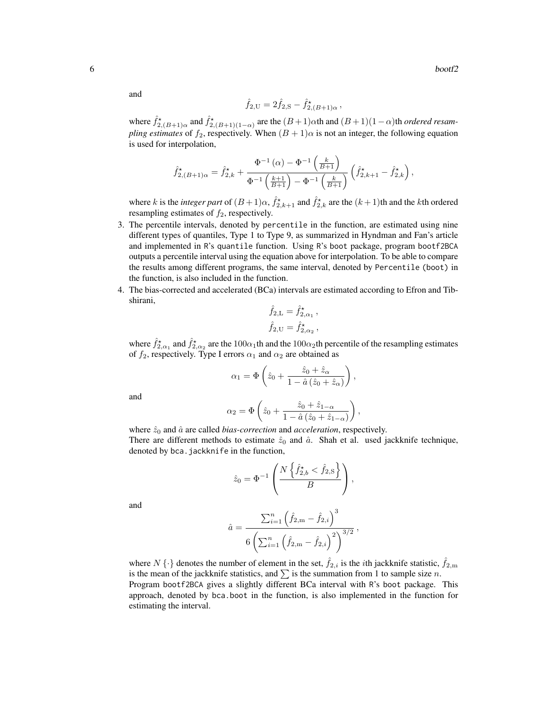$\sim$  6 bootf2

and

$$
\hat{f}_{2,U} = 2\hat{f}_{2,S} - \hat{f}_{2,(B+1)\alpha}^{\star} ,
$$

where  $\hat{f}_{2,(B+1)\alpha}^*$  and  $\hat{f}_{2,(B+1)(1-\alpha)}^*$  are the  $(B+1)\alpha$ th and  $(B+1)(1-\alpha)$ th *ordered resampling estimates* of  $f_2$ , respectively. When  $(B + 1)\alpha$  is not an integer, the following equation is used for interpolation,

$$
\hat{f}_{2,(B+1)\alpha}^{\star} = \hat{f}_{2,k}^{\star} + \frac{\Phi^{-1}(\alpha) - \Phi^{-1}(\frac{k}{B+1})}{\Phi^{-1}(\frac{k+1}{B+1}) - \Phi^{-1}(\frac{k}{B+1})} (\hat{f}_{2,k+1}^{\star} - \hat{f}_{2,k}^{\star}),
$$

where k is the *integer part* of  $(B+1)\alpha$ ,  $\hat{f}_{2,k+1}^*$  and  $\hat{f}_{2,k}^*$  are the  $(k+1)$ th and the kth ordered resampling estimates of  $f_2$ , respectively.

- 3. The percentile intervals, denoted by percentile in the function, are estimated using nine different types of quantiles, Type 1 to Type 9, as summarized in Hyndman and Fan's article and implemented in R's quantile function. Using R's boot package, program bootf2BCA outputs a percentile interval using the equation above for interpolation. To be able to compare the results among different programs, the same interval, denoted by Percentile (boot) in the function, is also included in the function.
- 4. The bias-corrected and accelerated (BCa) intervals are estimated according to Efron and Tibshirani,

$$
\hat{f}_{2,L} = \hat{f}_{2,\alpha_1}^{\star},
$$
  

$$
\hat{f}_{2,U} = \hat{f}_{2,\alpha_2}^{\star},
$$

where  $\hat{f}_{2,\alpha_1}^{\star}$  and  $\hat{f}_{2,\alpha_2}^{\star}$  are the  $100\alpha_1$ th and the  $100\alpha_2$ th percentile of the resampling estimates of  $f_2$ , respectively. Type I errors  $\alpha_1$  and  $\alpha_2$  are obtained as

$$
\alpha_1 = \Phi\left(\hat{z}_0 + \frac{\hat{z}_0 + \hat{z}_\alpha}{1 - \hat{a}(\hat{z}_0 + \hat{z}_\alpha)}\right),
$$

and

$$
\alpha_2 = \Phi\left(\hat{z}_0 + \frac{\hat{z}_0 + \hat{z}_{1-\alpha}}{1 - \hat{a}\left(\hat{z}_0 + \hat{z}_{1-\alpha}\right)}\right),\,
$$

where  $\hat{z}_0$  and  $\hat{a}$  are called *bias-correction* and *acceleration*, respectively. There are different methods to estimate  $\hat{z}_0$  and  $\hat{a}$ . Shah et al. used jackknife technique, denoted by bca. jackknife in the function,

$$
\hat{z}_0 = \Phi^{-1}\left(\frac{N\left\{\hat{f}_{2,b}^{\star} < \hat{f}_{2,S}\right\}}{B}\right),\,
$$

and

$$
\hat{a} = \frac{\sum_{i=1}^{n} (\hat{f}_{2,m} - \hat{f}_{2,i})^3}{6 \left( \sum_{i=1}^{n} (\hat{f}_{2,m} - \hat{f}_{2,i})^2 \right)^{3/2}},
$$

where  $N \{\cdot\}$  denotes the number of element in the set,  $\hat{f}_{2,i}$  is the *i*th jackknife statistic,  $\hat{f}_{2,m}$ is the mean of the jackknife statistics, and  $\sum$  is the summation from 1 to sample size n. Program bootf2BCA gives a slightly different BCa interval with R's boot package. This approach, denoted by bca.boot in the function, is also implemented in the function for estimating the interval.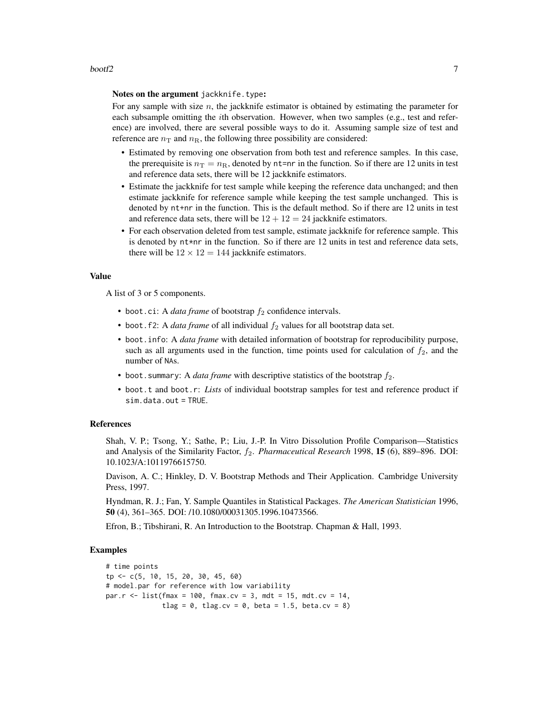### $\frac{1}{2}$  bootf2 7

#### Notes on the argument jackknife.type:

For any sample with size  $n$ , the jackknife estimator is obtained by estimating the parameter for each subsample omitting the *i*th observation. However, when two samples (e.g., test and reference) are involved, there are several possible ways to do it. Assuming sample size of test and reference are  $n<sub>T</sub>$  and  $n<sub>R</sub>$ , the following three possibility are considered:

- Estimated by removing one observation from both test and reference samples. In this case, the prerequisite is  $n_T = n_R$ , denoted by nt=nr in the function. So if there are 12 units in test and reference data sets, there will be 12 jackknife estimators.
- Estimate the jackknife for test sample while keeping the reference data unchanged; and then estimate jackknife for reference sample while keeping the test sample unchanged. This is denoted by nt+nr in the function. This is the default method. So if there are 12 units in test and reference data sets, there will be  $12 + 12 = 24$  jackknife estimators.
- For each observation deleted from test sample, estimate jackknife for reference sample. This is denoted by nt\*nr in the function. So if there are 12 units in test and reference data sets, there will be  $12 \times 12 = 144$  jackknife estimators.

### Value

A list of 3 or 5 components.

- boot.ci: A *data frame* of bootstrap  $f_2$  confidence intervals.
- boot.f2: A *data frame* of all individual  $f_2$  values for all bootstrap data set.
- boot.info: A *data frame* with detailed information of bootstrap for reproducibility purpose, such as all arguments used in the function, time points used for calculation of  $f_2$ , and the number of NAs.
- boot. summary: A *data frame* with descriptive statistics of the bootstrap  $f_2$ .
- boot.t and boot.r: *Lists* of individual bootstrap samples for test and reference product if sim.data.out = TRUE.

#### References

Shah, V. P.; Tsong, Y.; Sathe, P.; Liu, J.-P. In Vitro Dissolution Profile Comparison—Statistics and Analysis of the Similarity Factor, f2. *Pharmaceutical Research* 1998, 15 (6), 889–896. DOI: 10.1023/A:1011976615750.

Davison, A. C.; Hinkley, D. V. Bootstrap Methods and Their Application. Cambridge University Press, 1997.

Hyndman, R. J.; Fan, Y. Sample Quantiles in Statistical Packages. *The American Statistician* 1996, 50 (4), 361–365. DOI: /10.1080/00031305.1996.10473566.

Efron, B.; Tibshirani, R. An Introduction to the Bootstrap. Chapman & Hall, 1993.

### Examples

```
# time points
tp <- c(5, 10, 15, 20, 30, 45, 60)
# model.par for reference with low variability
par.r <- list(fmax = 100, fmax.cv = 3, mdt = 15, mdt.cv = 14,
              tlag = 0, tlag.cv = 0, beta = 1.5, beta.cv = 8)
```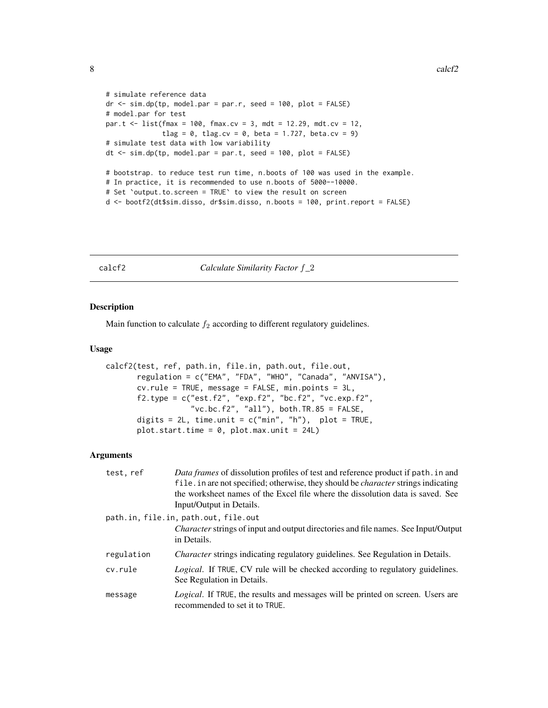```
# simulate reference data
dr < - \sin d\rho(tp, \text{ model.} par = par.r, \text{ seed} = 100, \text{ plot} = FALSE)# model.par for test
par.t <- list(fmax = 100, fmax.cv = 3, mdt = 12.29, mdt.cv = 12,
              tlag = 0, tlag.cv = 0, beta = 1.727, beta.cv = 9)
# simulate test data with low variability
dt \le sim.dp(tp, model.par = par.t, seed = 100, plot = FALSE)
# bootstrap. to reduce test run time, n.boots of 100 was used in the example.
# In practice, it is recommended to use n.boots of 5000--10000.
# Set `output.to.screen = TRUE` to view the result on screen
d <- bootf2(dt$sim.disso, dr$sim.disso, n.boots = 100, print.report = FALSE)
```
<span id="page-7-1"></span>

calcf2 *Calculate Similarity Factor* f*\_*2

### Description

Main function to calculate  $f_2$  according to different regulatory guidelines.

### Usage

```
calcf2(test, ref, path.in, file.in, path.out, file.out,
       regulation = c("EMA", "FDA", "WHO", "Canada", "ANVISA"),
       cv.rule = TRUE, message = FALSE, min.points = 3L,
       f2.type = c("est.f2", "exp.f2", "bc.f2", "vc.exp.f2","vc.bc.f2", "all"), both.TR.85 = FALSE,
       digits = 2L, time.unit = c("min", "h"), plot = TRUE,
       plot.start.time = 0, plot.max.unit = 24L)
```

| test, ref  | Data frames of dissolution profiles of test and reference product if path. in and                                        |
|------------|--------------------------------------------------------------------------------------------------------------------------|
|            | file. in are not specified; otherwise, they should be <i>character</i> strings indicating                                |
|            | the worksheet names of the Excel file where the dissolution data is saved. See                                           |
|            | Input/Output in Details.                                                                                                 |
|            | path.in, file.in, path.out, file.out                                                                                     |
|            | <i>Character</i> strings of input and output directories and file names. See Input/Output<br>in Details.                 |
| regulation | Character strings indicating regulatory guidelines. See Regulation in Details.                                           |
| cv.rule    | <i>Logical.</i> If TRUE, CV rule will be checked according to regulatory guidelines.<br>See Regulation in Details.       |
| message    | <i>Logical.</i> If TRUE, the results and messages will be printed on screen. Users are<br>recommended to set it to TRUE. |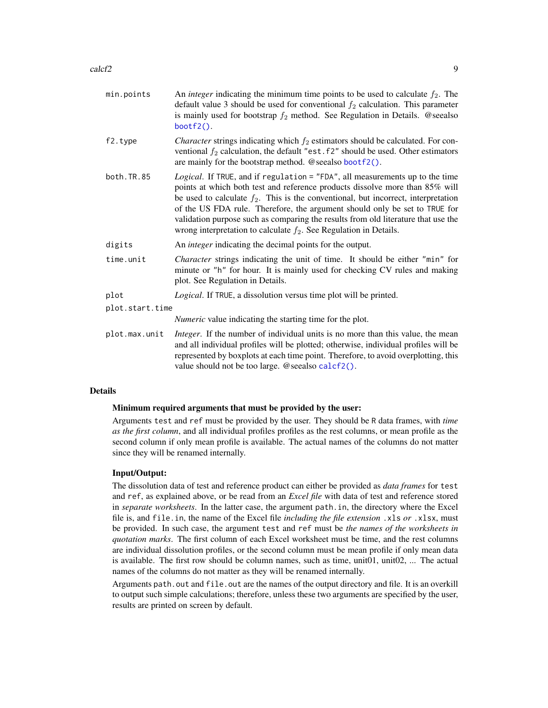<span id="page-8-0"></span>

| min.points      | An <i>integer</i> indicating the minimum time points to be used to calculate $f_2$ . The<br>default value 3 should be used for conventional $f_2$ calculation. This parameter<br>is mainly used for bootstrap $f_2$ method. See Regulation in Details. @seealso<br>$bootf2()$ .                                                                                                                                                                                                                 |
|-----------------|-------------------------------------------------------------------------------------------------------------------------------------------------------------------------------------------------------------------------------------------------------------------------------------------------------------------------------------------------------------------------------------------------------------------------------------------------------------------------------------------------|
| f2.type         | <i>Character</i> strings indicating which $f_2$ estimators should be calculated. For con-<br>ventional $f_2$ calculation, the default "est. $f2$ " should be used. Other estimators<br>are mainly for the bootstrap method. @seealso bootf2().                                                                                                                                                                                                                                                  |
| both.TR.85      | Logical. If TRUE, and if regulation = "FDA", all measurements up to the time<br>points at which both test and reference products dissolve more than 85% will<br>be used to calculate $f_2$ . This is the conventional, but incorrect, interpretation<br>of the US FDA rule. Therefore, the argument should only be set to TRUE for<br>validation purpose such as comparing the results from old literature that use the<br>wrong interpretation to calculate $f_2$ . See Regulation in Details. |
| digits          | An <i>integer</i> indicating the decimal points for the output.                                                                                                                                                                                                                                                                                                                                                                                                                                 |
| time.unit       | <i>Character</i> strings indicating the unit of time. It should be either "min" for<br>minute or "h" for hour. It is mainly used for checking CV rules and making<br>plot. See Regulation in Details.                                                                                                                                                                                                                                                                                           |
| plot            | Logical. If TRUE, a dissolution versus time plot will be printed.                                                                                                                                                                                                                                                                                                                                                                                                                               |
| plot.start.time |                                                                                                                                                                                                                                                                                                                                                                                                                                                                                                 |
|                 | <i>Numeric</i> value indicating the starting time for the plot.                                                                                                                                                                                                                                                                                                                                                                                                                                 |
| plot.max.unit   | <i>Integer</i> . If the number of individual units is no more than this value, the mean<br>and all individual profiles will be plotted; otherwise, individual profiles will be<br>represented by boxplots at each time point. Therefore, to avoid overplotting, this<br>value should not be too large. @seealso calcf2().                                                                                                                                                                       |

### Details

### Minimum required arguments that must be provided by the user:

Arguments test and ref must be provided by the user. They should be R data frames, with *time as the first column*, and all individual profiles profiles as the rest columns, or mean profile as the second column if only mean profile is available. The actual names of the columns do not matter since they will be renamed internally.

### Input/Output:

The dissolution data of test and reference product can either be provided as *data frames* for test and ref, as explained above, or be read from an *Excel file* with data of test and reference stored in *separate worksheets*. In the latter case, the argument path.in, the directory where the Excel file is, and file.in, the name of the Excel file *including the file extension* .xls *or* .xlsx, must be provided. In such case, the argument test and ref must be *the names of the worksheets in quotation marks*. The first column of each Excel worksheet must be time, and the rest columns are individual dissolution profiles, or the second column must be mean profile if only mean data is available. The first row should be column names, such as time, unit01, unit02, ... The actual names of the columns do not matter as they will be renamed internally.

Arguments path. out and file. out are the names of the output directory and file. It is an overkill to output such simple calculations; therefore, unless these two arguments are specified by the user, results are printed on screen by default.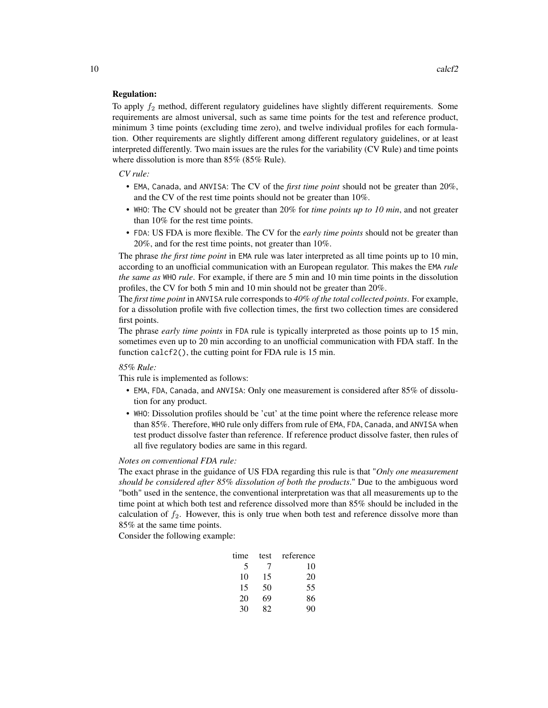### Regulation:

To apply  $f_2$  method, different regulatory guidelines have slightly different requirements. Some requirements are almost universal, such as same time points for the test and reference product, minimum 3 time points (excluding time zero), and twelve individual profiles for each formulation. Other requirements are slightly different among different regulatory guidelines, or at least interpreted differently. Two main issues are the rules for the variability (CV Rule) and time points where dissolution is more than 85% (85% Rule).

*CV rule:*

- EMA, Canada, and ANVISA: The CV of the *first time point* should not be greater than 20%, and the CV of the rest time points should not be greater than 10%.
- WHO: The CV should not be greater than 20% for *time points up to 10 min*, and not greater than 10% for the rest time points.
- FDA: US FDA is more flexible. The CV for the *early time points* should not be greater than 20%, and for the rest time points, not greater than 10%.

The phrase *the first time point* in EMA rule was later interpreted as all time points up to 10 min, according to an unofficial communication with an European regulator. This makes the EMA *rule the same as* WHO *rule*. For example, if there are 5 min and 10 min time points in the dissolution profiles, the CV for both 5 min and 10 min should not be greater than 20%.

The *first time point* in ANVISA rule corresponds to *40% of the total collected points*. For example, for a dissolution profile with five collection times, the first two collection times are considered first points.

The phrase *early time points* in FDA rule is typically interpreted as those points up to 15 min, sometimes even up to 20 min according to an unofficial communication with FDA staff. In the function calcf2(), the cutting point for FDA rule is 15 min.

### *85% Rule:*

This rule is implemented as follows:

- EMA, FDA, Canada, and ANVISA: Only one measurement is considered after 85% of dissolution for any product.
- WHO: Dissolution profiles should be 'cut' at the time point where the reference release more than 85%. Therefore, WHO rule only differs from rule of EMA, FDA, Canada, and ANVISA when test product dissolve faster than reference. If reference product dissolve faster, then rules of all five regulatory bodies are same in this regard.

### *Notes on conventional FDA rule:*

The exact phrase in the guidance of US FDA regarding this rule is that "*Only one measurement should be considered after 85% dissolution of both the products*." Due to the ambiguous word "both" used in the sentence, the conventional interpretation was that all measurements up to the time point at which both test and reference dissolved more than 85% should be included in the calculation of  $f_2$ . However, this is only true when both test and reference dissolve more than 85% at the same time points.

Consider the following example:

| time | test | reference |
|------|------|-----------|
| 5    |      | 10        |
| 10   | 15   | 20        |
| 15   | 50   | 55        |
| 20   | 69   | 86        |
| 30   | 82.  | 90        |

 $10$  calcf2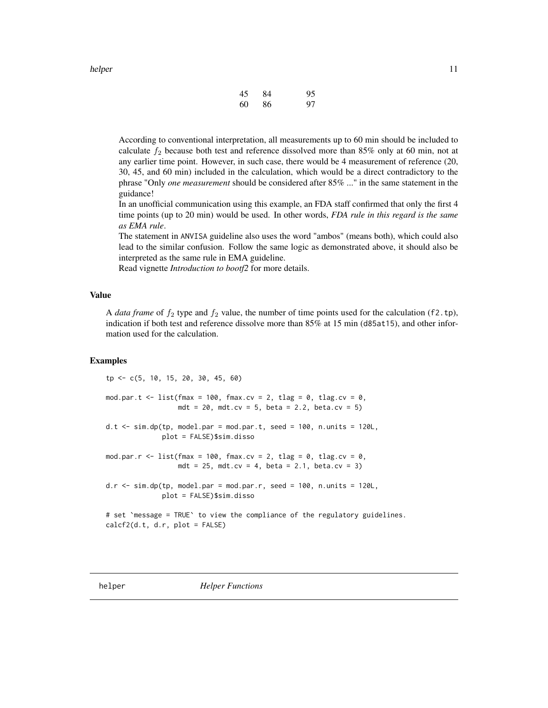<span id="page-10-0"></span>

| helper | 11 |
|--------|----|
|        |    |

| 45 | 84 | 95 |
|----|----|----|
| 60 | 86 | 97 |

According to conventional interpretation, all measurements up to 60 min should be included to calculate  $f_2$  because both test and reference dissolved more than 85% only at 60 min, not at any earlier time point. However, in such case, there would be 4 measurement of reference (20, 30, 45, and 60 min) included in the calculation, which would be a direct contradictory to the phrase "Only *one measurement* should be considered after 85% ..." in the same statement in the guidance!

In an unofficial communication using this example, an FDA staff confirmed that only the first 4 time points (up to 20 min) would be used. In other words, *FDA rule in this regard is the same as EMA rule*.

The statement in ANVISA guideline also uses the word "ambos" (means both), which could also lead to the similar confusion. Follow the same logic as demonstrated above, it should also be interpreted as the same rule in EMA guideline.

Read vignette *Introduction to bootf2* for more details.

### Value

A *data frame* of  $f_2$  type and  $f_2$  value, the number of time points used for the calculation (f2.tp), indication if both test and reference dissolve more than 85% at 15 min (d85at15), and other information used for the calculation.

### Examples

tp <- c(5, 10, 15, 20, 30, 45, 60) mod.par.t <- list(fmax = 100, fmax.cv = 2, tlag = 0, tlag.cv = 0, mdt = 20, mdt.cv = 5, beta = 2.2, beta.cv = 5) d.t  $\le$  sim.dp(tp, model.par = mod.par.t, seed = 100, n.units = 120L, plot = FALSE)\$sim.disso mod.par.r <- list(fmax = 100, fmax.cv = 2, tlag = 0, tlag.cv = 0, mdt = 25, mdt.cv = 4, beta = 2.1, beta.cv = 3) d.r  $\le$  sim.dp(tp, model.par = mod.par.r, seed = 100, n.units = 120L, plot = FALSE)\$sim.disso # set `message = TRUE` to view the compliance of the regulatory guidelines. calcf2(d.t, d.r, plot = FALSE)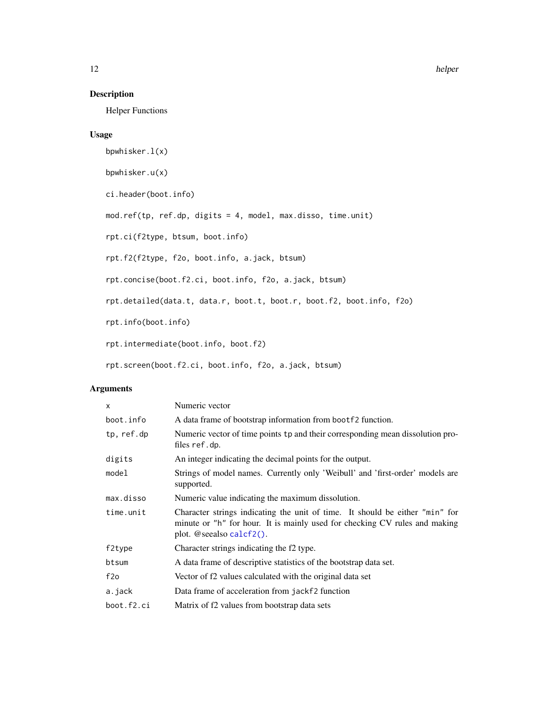### <span id="page-11-0"></span>Description

Helper Functions

### Usage

```
bpwhisker.l(x)
bpwhisker.u(x)
ci.header(boot.info)
mod.ref(tp, ref.dp, digits = 4, model, max.disso, time.unit)
rpt.ci(f2type, btsum, boot.info)
rpt.f2(f2type, f2o, boot.info, a.jack, btsum)
rpt.concise(boot.f2.ci, boot.info, f2o, a.jack, btsum)
rpt.detailed(data.t, data.r, boot.t, boot.r, boot.f2, boot.info, f2o)
rpt.info(boot.info)
rpt.intermediate(boot.info, boot.f2)
rpt.screen(boot.f2.ci, boot.info, f2o, a.jack, btsum)
```

| x          | Numeric vector                                                                                                                                                                         |
|------------|----------------------------------------------------------------------------------------------------------------------------------------------------------------------------------------|
| boot.info  | A data frame of bootstrap information from boot f2 function.                                                                                                                           |
| tp, ref.dp | Numeric vector of time points tp and their corresponding mean dissolution pro-<br>files ref.dp.                                                                                        |
| digits     | An integer indicating the decimal points for the output.                                                                                                                               |
| model      | Strings of model names. Currently only 'Weibull' and 'first-order' models are<br>supported.                                                                                            |
| max.disso  | Numeric value indicating the maximum dissolution.                                                                                                                                      |
| time.unit  | Character strings indicating the unit of time. It should be either "min" for<br>minute or "h" for hour. It is mainly used for checking CV rules and making<br>plot. @seealso calcf2(). |
| f2type     | Character strings indicating the f2 type.                                                                                                                                              |
| btsum      | A data frame of descriptive statistics of the bootstrap data set.                                                                                                                      |
| f2o        | Vector of f2 values calculated with the original data set                                                                                                                              |
| a.jack     | Data frame of acceleration from jackf2 function                                                                                                                                        |
| boot.f2.ci | Matrix of f2 values from bootstrap data sets                                                                                                                                           |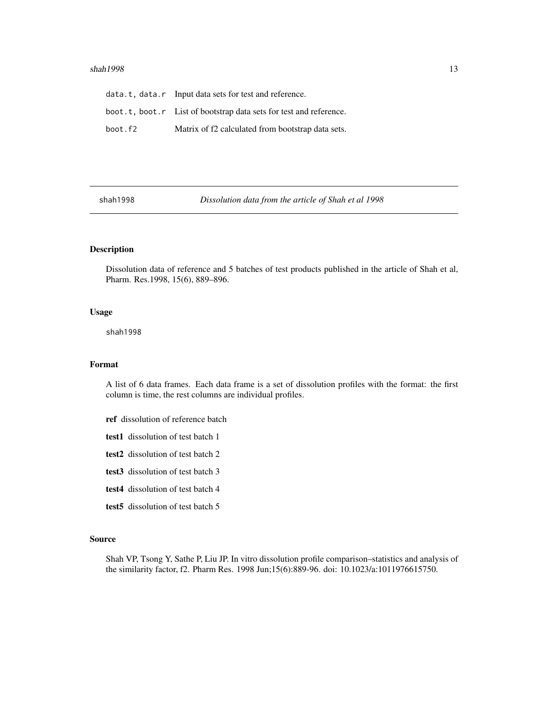### <span id="page-12-0"></span> $shah1998$  13

|         | data.t, data.r Input data sets for test and reference.             |
|---------|--------------------------------------------------------------------|
|         | boot.t, boot.r List of bootstrap data sets for test and reference. |
| boot.f2 | Matrix of f2 calculated from bootstrap data sets.                  |

shah1998 *Dissolution data from the article of Shah et al 1998*

## Description

Dissolution data of reference and 5 batches of test products published in the article of Shah et al, Pharm. Res.1998, 15(6), 889–896.

#### Usage

shah1998

### Format

A list of 6 data frames. Each data frame is a set of dissolution profiles with the format: the first column is time, the rest columns are individual profiles.

- ref dissolution of reference batch
- test1 dissolution of test batch 1
- test2 dissolution of test batch 2
- test3 dissolution of test batch 3
- test4 dissolution of test batch 4
- test5 dissolution of test batch 5

#### Source

Shah VP, Tsong Y, Sathe P, Liu JP. In vitro dissolution profile comparison–statistics and analysis of the similarity factor, f2. Pharm Res. 1998 Jun;15(6):889-96. doi: 10.1023/a:1011976615750.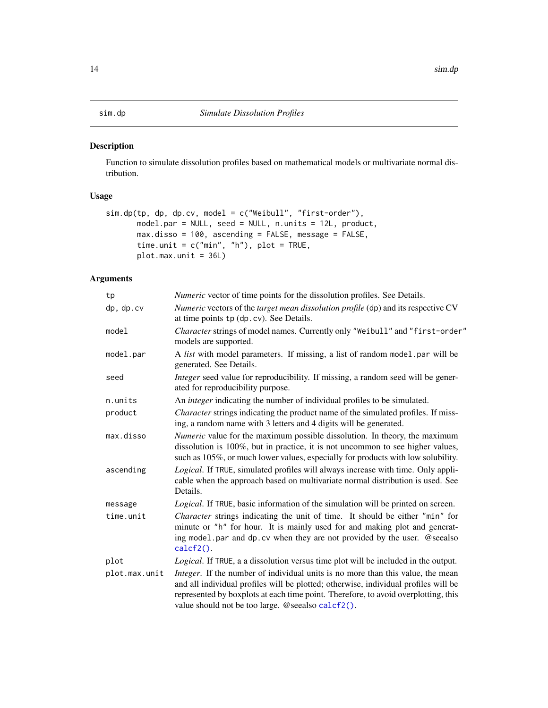### <span id="page-13-1"></span><span id="page-13-0"></span>Description

Function to simulate dissolution profiles based on mathematical models or multivariate normal distribution.

### Usage

```
sim.dp(tp, dp, dp.cv, model = c("Weibull", "first-order"),
      model.par = NULL, seed = NULL, n.units = 12L, product,
      max.disso = 100, ascending = FALSE, message = FALSE,
      time.unit = c("min", "h"), plot = TRUE,
      plot.max.unit = 36L)
```

| tp            | <i>Numeric</i> vector of time points for the dissolution profiles. See Details.                                                                                                                                                                                                                                   |
|---------------|-------------------------------------------------------------------------------------------------------------------------------------------------------------------------------------------------------------------------------------------------------------------------------------------------------------------|
| dp, dp.cv     | Numeric vectors of the target mean dissolution profile (dp) and its respective CV<br>at time points tp (dp. cv). See Details.                                                                                                                                                                                     |
| model         | Character strings of model names. Currently only "Weibull" and "first-order"<br>models are supported.                                                                                                                                                                                                             |
| model.par     | A list with model parameters. If missing, a list of random model par will be<br>generated. See Details.                                                                                                                                                                                                           |
| seed          | Integer seed value for reproducibility. If missing, a random seed will be gener-<br>ated for reproducibility purpose.                                                                                                                                                                                             |
| n.units       | An <i>integer</i> indicating the number of individual profiles to be simulated.                                                                                                                                                                                                                                   |
| product       | <i>Character</i> strings indicating the product name of the simulated profiles. If miss-<br>ing, a random name with 3 letters and 4 digits will be generated.                                                                                                                                                     |
| max.disso     | Numeric value for the maximum possible dissolution. In theory, the maximum<br>dissolution is 100%, but in practice, it is not uncommon to see higher values,<br>such as 105%, or much lower values, especially for products with low solubility.                                                                  |
| ascending     | Logical. If TRUE, simulated profiles will always increase with time. Only appli-<br>cable when the approach based on multivariate normal distribution is used. See<br>Details.                                                                                                                                    |
| message       | Logical. If TRUE, basic information of the simulation will be printed on screen.                                                                                                                                                                                                                                  |
| time.unit     | Character strings indicating the unit of time. It should be either "min" for<br>minute or "h" for hour. It is mainly used for and making plot and generat-<br>ing model.par and dp.cv when they are not provided by the user. @seealso<br>$calcf2()$ .                                                            |
| plot          | Logical. If TRUE, a a dissolution versus time plot will be included in the output.                                                                                                                                                                                                                                |
| plot.max.unit | Integer. If the number of individual units is no more than this value, the mean<br>and all individual profiles will be plotted; otherwise, individual profiles will be<br>represented by boxplots at each time point. Therefore, to avoid overplotting, this<br>value should not be too large. @seealso calcf2(). |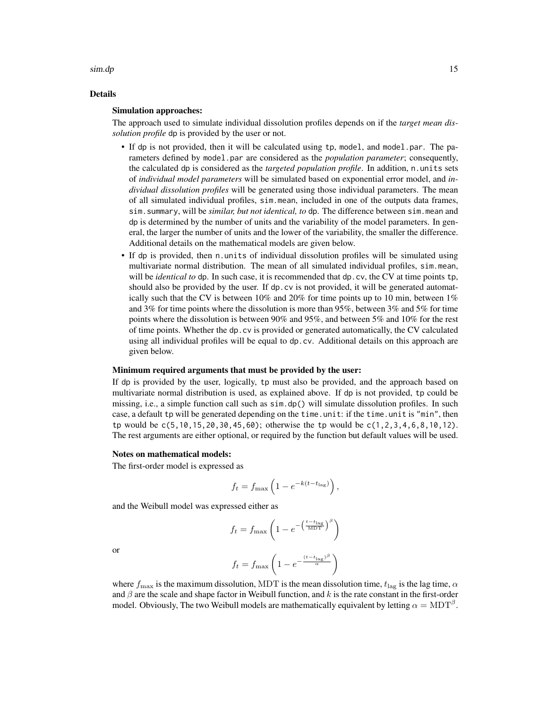### $\sin A p$  15

### Details

#### Simulation approaches:

The approach used to simulate individual dissolution profiles depends on if the *target mean dissolution profile* dp is provided by the user or not.

- If dp is not provided, then it will be calculated using tp, model, and model.par. The parameters defined by model.par are considered as the *population parameter*; consequently, the calculated dp is considered as the *targeted population profile*. In addition, n.units sets of *individual model parameters* will be simulated based on exponential error model, and *individual dissolution profiles* will be generated using those individual parameters. The mean of all simulated individual profiles, sim.mean, included in one of the outputs data frames, sim.summary, will be *similar, but not identical, to* dp. The difference between sim.mean and dp is determined by the number of units and the variability of the model parameters. In general, the larger the number of units and the lower of the variability, the smaller the difference. Additional details on the mathematical models are given below.
- If dp is provided, then n.units of individual dissolution profiles will be simulated using multivariate normal distribution. The mean of all simulated individual profiles, sim.mean, will be *identical to* dp. In such case, it is recommended that dp.cv, the CV at time points tp, should also be provided by the user. If dp.cv is not provided, it will be generated automatically such that the CV is between 10% and 20% for time points up to 10 min, between 1% and 3% for time points where the dissolution is more than 95%, between 3% and 5% for time points where the dissolution is between 90% and 95%, and between 5% and 10% for the rest of time points. Whether the dp.cv is provided or generated automatically, the CV calculated using all individual profiles will be equal to dp.cv. Additional details on this approach are given below.

#### Minimum required arguments that must be provided by the user:

If dp is provided by the user, logically, tp must also be provided, and the approach based on multivariate normal distribution is used, as explained above. If dp is not provided, tp could be missing, i.e., a simple function call such as sim.dp() will simulate dissolution profiles. In such case, a default tp will be generated depending on the time.unit: if the time.unit is "min", then tp would be  $c(5,10,15,20,30,45,60)$ ; otherwise the tp would be  $c(1,2,3,4,6,8,10,12)$ . The rest arguments are either optional, or required by the function but default values will be used.

### Notes on mathematical models:

The first-order model is expressed as

$$
f_t = f_{\max}\left(1 - e^{-k(t - t_{\text{lag}})}\right),\,
$$

and the Weibull model was expressed either as

$$
f_t = f_{\text{max}} \left( 1 - e^{-\left(\frac{t - t_{\text{lag}}}{\text{MDT}}\right)^{\beta}} \right)
$$

or

$$
f_t = f_{\max}\left(1 - e^{-\frac{(t - t_{\max})^{\beta}}{\alpha}}\right)
$$

where  $f_{\text{max}}$  is the maximum dissolution, MDT is the mean dissolution time,  $t_{\text{lag}}$  is the lag time,  $\alpha$ and  $\beta$  are the scale and shape factor in Weibull function, and k is the rate constant in the first-order model. Obviously, The two Weibull models are mathematically equivalent by letting  $\alpha = \text{MDT}^{\beta}$ .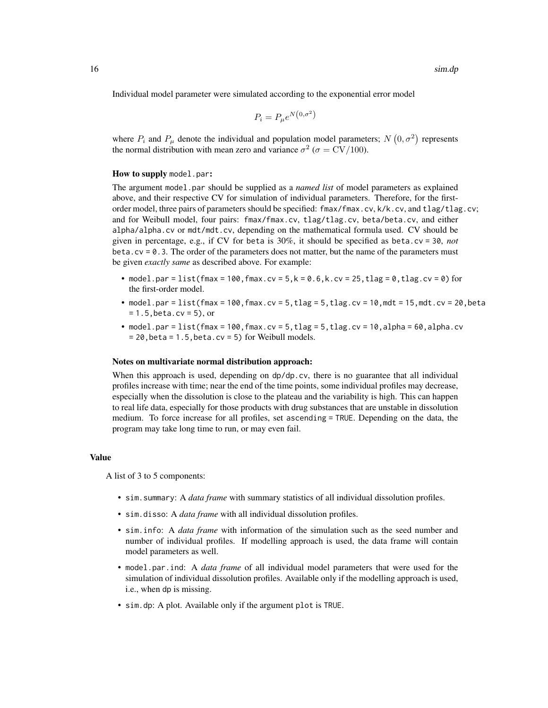Individual model parameter were simulated according to the exponential error model

$$
P_i = P_\mu e^{N(0, \sigma^2)}
$$

where  $P_i$  and  $P_\mu$  denote the individual and population model parameters;  $N(0, \sigma^2)$  represents the normal distribution with mean zero and variance  $\sigma^2$  ( $\sigma = CV/100$ ).

#### How to supply model.par:

The argument model.par should be supplied as a *named list* of model parameters as explained above, and their respective CV for simulation of individual parameters. Therefore, for the firstorder model, three pairs of parameters should be specified: fmax/fmax.cv, k/k.cv, and tlag/tlag.cv; and for Weibull model, four pairs: fmax/fmax.cv, tlag/tlag.cv, beta/beta.cv, and either alpha/alpha.cv or mdt/mdt.cv, depending on the mathematical formula used. CV should be given in percentage, e.g., if CV for beta is 30%, it should be specified as beta.cv = 30, *not* beta.cv =  $0.3$ . The order of the parameters does not matter, but the name of the parameters must be given *exactly same* as described above. For example:

- model.par = list(fmax = 100, fmax.cv =  $5, k = 0.6, k$ .cv =  $25, t$ lag = 0, tlag.cv = 0) for the first-order model.
- model.par = list(fmax = 100,fmax.cv =  $5$ , tlag =  $5$ , tlag.cv = 10,mdt = 15,mdt.cv = 20, beta  $= 1.5$ , beta.cv = 5), or
- model.par = list(fmax = 100, fmax.cv = 5, tlag = 5, tlag.cv = 10, alpha = 60, alpha.cv  $= 20$ , beta = 1.5, beta.cv = 5) for Weibull models.

#### Notes on multivariate normal distribution approach:

When this approach is used, depending on  $dp/dp$ , cv, there is no guarantee that all individual profiles increase with time; near the end of the time points, some individual profiles may decrease, especially when the dissolution is close to the plateau and the variability is high. This can happen to real life data, especially for those products with drug substances that are unstable in dissolution medium. To force increase for all profiles, set ascending = TRUE. Depending on the data, the program may take long time to run, or may even fail.

### Value

A list of 3 to 5 components:

- sim.summary: A *data frame* with summary statistics of all individual dissolution profiles.
- sim.disso: A *data frame* with all individual dissolution profiles.
- sim.info: A *data frame* with information of the simulation such as the seed number and number of individual profiles. If modelling approach is used, the data frame will contain model parameters as well.
- model.par.ind: A *data frame* of all individual model parameters that were used for the simulation of individual dissolution profiles. Available only if the modelling approach is used, i.e., when dp is missing.
- sim.dp: A plot. Available only if the argument plot is TRUE.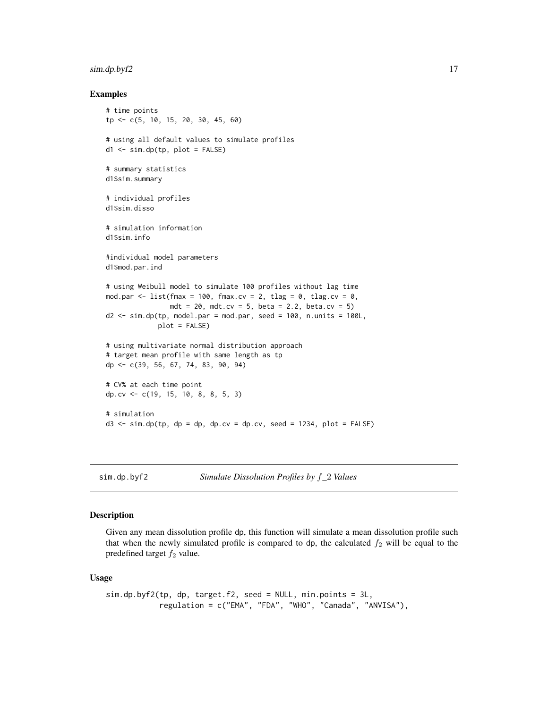### <span id="page-16-0"></span> $\sin A \phi \cdot b$  y f2 17

### Examples

```
# time points
tp <- c(5, 10, 15, 20, 30, 45, 60)
# using all default values to simulate profiles
d1 <- sim.dp(tp, plot = FALSE)
# summary statistics
d1$sim.summary
# individual profiles
d1$sim.disso
# simulation information
d1$sim.info
#individual model parameters
d1$mod.par.ind
# using Weibull model to simulate 100 profiles without lag time
mod.par <- list(fmax = 100, fmax.cv = 2, tlag = 0, tlag.cv = 0,
                mdt = 20, mdt.cv = 5, beta = 2.2, beta.cv = 5)
d2 \leq -\sin d\rho(t), model.par = mod.par, seed = 100, n.units = 100L,
             plot = FALSE)
# using multivariate normal distribution approach
# target mean profile with same length as tp
dp <- c(39, 56, 67, 74, 83, 90, 94)
# CV% at each time point
dp.cv <- c(19, 15, 10, 8, 8, 5, 3)
# simulation
d3 \leq -\sin d\rho(tp, dp = dp, dp.cv = dp.cv, seed = 1234, plot = FALSE)
```
sim.dp.byf2 *Simulate Dissolution Profiles by* f*\_*2 *Values*

### **Description**

Given any mean dissolution profile dp, this function will simulate a mean dissolution profile such that when the newly simulated profile is compared to dp, the calculated  $f_2$  will be equal to the predefined target  $f_2$  value.

#### Usage

```
sim.dp.byf2(tp, dp, target.f2, seed = NULL, min.points = 3L,
           regulation = c("EMA", "FDA", "WHO", "Canada", "ANVISA"),
```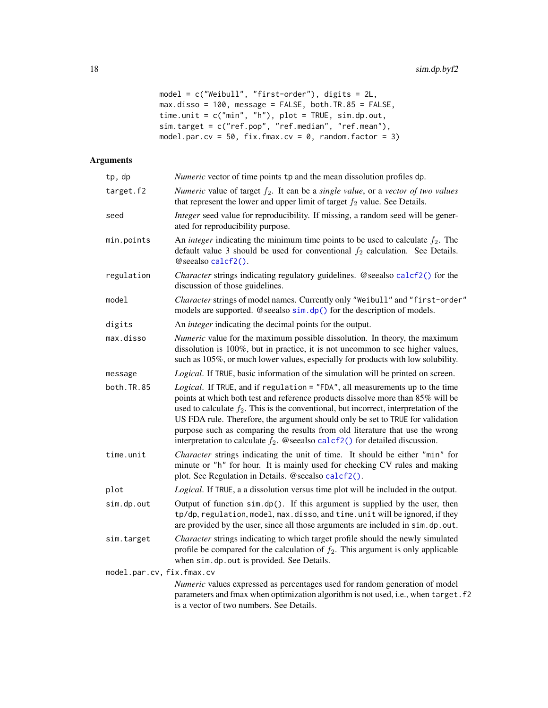```
model = c("Weibull", "first-order"), digits = 2L,
max.disso = 100, message = FALSE, both.TR.85 = FALSE,
time.unit = c("min", "h"), plot = TRUE, sim.dp.out,
sim.target = c("ref.pop", "ref.median", "ref.mean"),
model.par.cv = 50, fix.fmax.cv = 0, random.factor = 3)
```

| tp, dp                    | <i>Numeric</i> vector of time points tp and the mean dissolution profiles dp.                                                                                                                                                                                                                                                                                                                                                                                                                                   |
|---------------------------|-----------------------------------------------------------------------------------------------------------------------------------------------------------------------------------------------------------------------------------------------------------------------------------------------------------------------------------------------------------------------------------------------------------------------------------------------------------------------------------------------------------------|
| target.f2                 | Numeric value of target $f_2$ . It can be a single value, or a vector of two values<br>that represent the lower and upper limit of target $f_2$ value. See Details.                                                                                                                                                                                                                                                                                                                                             |
| seed                      | Integer seed value for reproducibility. If missing, a random seed will be gener-<br>ated for reproducibility purpose.                                                                                                                                                                                                                                                                                                                                                                                           |
| min.points                | An <i>integer</i> indicating the minimum time points to be used to calculate $f_2$ . The<br>default value 3 should be used for conventional $f_2$ calculation. See Details.<br>@seealso calcf2().                                                                                                                                                                                                                                                                                                               |
| regulation                | Character strings indicating regulatory guidelines. @seealso calcf2() for the<br>discussion of those guidelines.                                                                                                                                                                                                                                                                                                                                                                                                |
| model                     | Character strings of model names. Currently only "Weibull" and "first-order"<br>models are supported. @seealso sim.dp() for the description of models.                                                                                                                                                                                                                                                                                                                                                          |
| digits                    | An <i>integer</i> indicating the decimal points for the output.                                                                                                                                                                                                                                                                                                                                                                                                                                                 |
| max.disso                 | Numeric value for the maximum possible dissolution. In theory, the maximum<br>dissolution is 100%, but in practice, it is not uncommon to see higher values,<br>such as 105%, or much lower values, especially for products with low solubility.                                                                                                                                                                                                                                                                |
| message                   | Logical. If TRUE, basic information of the simulation will be printed on screen.                                                                                                                                                                                                                                                                                                                                                                                                                                |
| both.TR.85                | Logical. If TRUE, and if regulation = "FDA", all measurements up to the time<br>points at which both test and reference products dissolve more than 85% will be<br>used to calculate $f_2$ . This is the conventional, but incorrect, interpretation of the<br>US FDA rule. Therefore, the argument should only be set to TRUE for validation<br>purpose such as comparing the results from old literature that use the wrong<br>interpretation to calculate $f_2$ . @seealso calcf2() for detailed discussion. |
| time.unit                 | Character strings indicating the unit of time. It should be either "min" for<br>minute or "h" for hour. It is mainly used for checking CV rules and making<br>plot. See Regulation in Details. @seealso calcf2().                                                                                                                                                                                                                                                                                               |
| plot                      | Logical. If TRUE, a a dissolution versus time plot will be included in the output.                                                                                                                                                                                                                                                                                                                                                                                                                              |
| sim.dp.out                | Output of function sim.dp(). If this argument is supplied by the user, then<br>tp/dp, regulation, model, max.disso, and time.unit will be ignored, if they<br>are provided by the user, since all those arguments are included in sim.dp.out.                                                                                                                                                                                                                                                                   |
| sim.target                | Character strings indicating to which target profile should the newly simulated<br>profile be compared for the calculation of $f_2$ . This argument is only applicable<br>when sim.dp.out is provided. See Details.                                                                                                                                                                                                                                                                                             |
| model.par.cv, fix.fmax.cv |                                                                                                                                                                                                                                                                                                                                                                                                                                                                                                                 |
|                           | Numeric values expressed as percentages used for random generation of model<br>parameters and fmax when optimization algorithm is not used, i.e., when target.f2<br>is a vector of two numbers. See Details.                                                                                                                                                                                                                                                                                                    |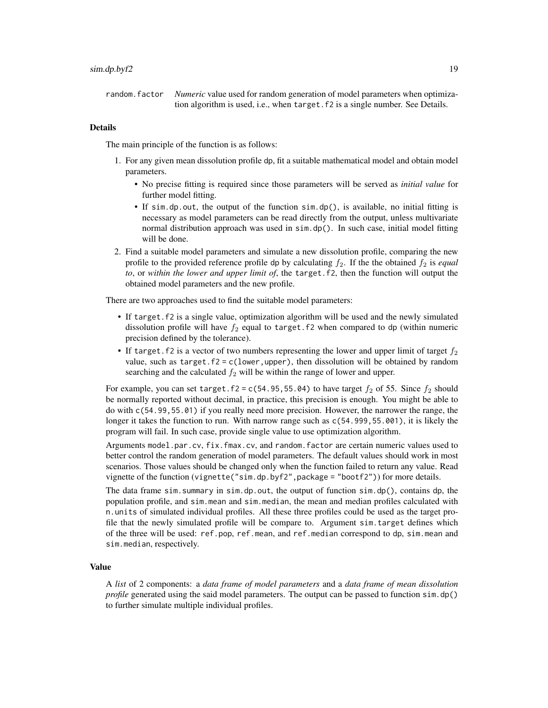### $\sin A \phi \cdot b$  y f2 19

random.factor *Numeric* value used for random generation of model parameters when optimization algorithm is used, i.e., when target.f2 is a single number. See Details.

### Details

The main principle of the function is as follows:

- 1. For any given mean dissolution profile dp, fit a suitable mathematical model and obtain model parameters.
	- No precise fitting is required since those parameters will be served as *initial value* for further model fitting.
	- If sim.dp.out, the output of the function sim.dp(), is available, no initial fitting is necessary as model parameters can be read directly from the output, unless multivariate normal distribution approach was used in sim.dp(). In such case, initial model fitting will be done.
- 2. Find a suitable model parameters and simulate a new dissolution profile, comparing the new profile to the provided reference profile dp by calculating  $f_2$ . If the the obtained  $f_2$  is *equal to*, or *within the lower and upper limit of*, the target.f2, then the function will output the obtained model parameters and the new profile.

There are two approaches used to find the suitable model parameters:

- If target.f2 is a single value, optimization algorithm will be used and the newly simulated dissolution profile will have  $f_2$  equal to target. f2 when compared to dp (within numeric precision defined by the tolerance).
- If target. f2 is a vector of two numbers representing the lower and upper limit of target  $f_2$ value, such as target.f2 =  $c(1$  ower, upper), then dissolution will be obtained by random searching and the calculated  $f_2$  will be within the range of lower and upper.

For example, you can set target.f2 = c(54.95,55.04) to have target  $f_2$  of 55. Since  $f_2$  should be normally reported without decimal, in practice, this precision is enough. You might be able to do with c(54.99,55.01) if you really need more precision. However, the narrower the range, the longer it takes the function to run. With narrow range such as c(54.999,55.001), it is likely the program will fail. In such case, provide single value to use optimization algorithm.

Arguments model.par.cv, fix.fmax.cv, and random.factor are certain numeric values used to better control the random generation of model parameters. The default values should work in most scenarios. Those values should be changed only when the function failed to return any value. Read vignette of the function (vignette("sim.dp.byf2", package = "bootf2")) for more details.

The data frame sim. summary in sim.dp.out, the output of function  $\sin d\rho$ . contains dp, the population profile, and sim.mean and sim.median, the mean and median profiles calculated with n.units of simulated individual profiles. All these three profiles could be used as the target profile that the newly simulated profile will be compare to. Argument sim.target defines which of the three will be used: ref.pop, ref.mean, and ref.median correspond to dp, sim.mean and sim.median, respectively.

### Value

A *list* of 2 components: a *data frame of model parameters* and a *data frame of mean dissolution profile* generated using the said model parameters. The output can be passed to function sim.dp() to further simulate multiple individual profiles.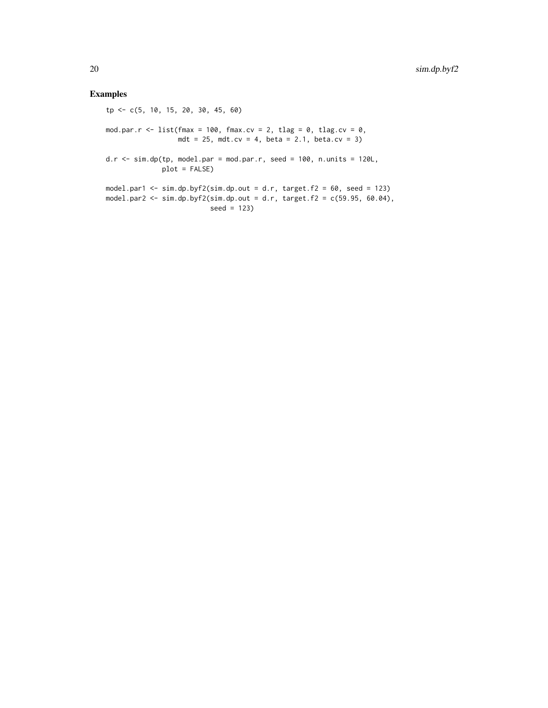### Examples

tp <- c(5, 10, 15, 20, 30, 45, 60) mod.par.r <- list(fmax = 100, fmax.cv = 2, tlag = 0, tlag.cv = 0, mdt = 25, mdt.cv = 4, beta = 2.1, beta.cv = 3) d.r  $\le$  sim.dp(tp, model.par = mod.par.r, seed = 100, n.units = 120L, plot = FALSE) model.par1  $\le$  sim.dp.byf2(sim.dp.out = d.r, target.f2 = 60, seed = 123) model.par2 <- sim.dp.byf2(sim.dp.out = d.r, target.f2 = c(59.95, 60.04), seed = 123)